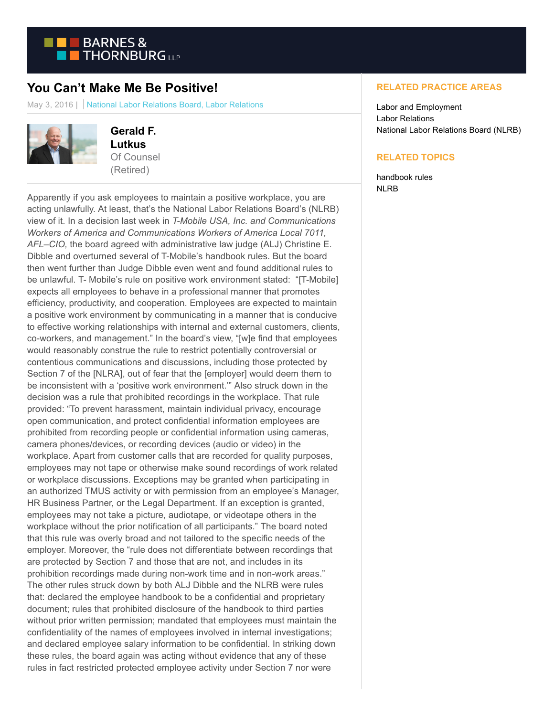

## **You Can't Make Me Be Positive!**

May 3, 2016 | National Labor Relations Board, Labor Relations



**Gerald F. Lutkus** Of Counsel (Retired)

Apparently if you ask employees to maintain a positive workplace, you are acting unlawfully. At least, that's the National Labor Relations Board's (NLRB) view of it. In a decision last week in *T-Mobile USA, Inc. and Communications Workers of America and Communications Workers of America Local 7011, AFL–CIO,* the board agreed with administrative law judge (ALJ) Christine E. Dibble and overturned several of T-Mobile's handbook rules. But the board then went further than Judge Dibble even went and found additional rules to be unlawful. T- Mobile's rule on positive work environment stated: "[T-Mobile] expects all employees to behave in a professional manner that promotes efficiency, productivity, and cooperation. Employees are expected to maintain a positive work environment by communicating in a manner that is conducive to effective working relationships with internal and external customers, clients, co-workers, and management." In the board's view, "[w]e find that employees would reasonably construe the rule to restrict potentially controversial or contentious communications and discussions, including those protected by Section 7 of the [NLRA], out of fear that the [employer] would deem them to be inconsistent with a 'positive work environment.'" Also struck down in the decision was a rule that prohibited recordings in the workplace. That rule provided: "To prevent harassment, maintain individual privacy, encourage open communication, and protect confidential information employees are prohibited from recording people or confidential information using cameras, camera phones/devices, or recording devices (audio or video) in the workplace. Apart from customer calls that are recorded for quality purposes, employees may not tape or otherwise make sound recordings of work related or workplace discussions. Exceptions may be granted when participating in an authorized TMUS activity or with permission from an employee's Manager, HR Business Partner, or the Legal Department. If an exception is granted, employees may not take a picture, audiotape, or videotape others in the workplace without the prior notification of all participants." The board noted that this rule was overly broad and not tailored to the specific needs of the employer. Moreover, the "rule does not differentiate between recordings that are protected by Section 7 and those that are not, and includes in its prohibition recordings made during non-work time and in non-work areas." The other rules struck down by both ALJ Dibble and the NLRB were rules that: declared the employee handbook to be a confidential and proprietary document; rules that prohibited disclosure of the handbook to third parties without prior written permission; mandated that employees must maintain the confidentiality of the names of employees involved in internal investigations; and declared employee salary information to be confidential. In striking down these rules, the board again was acting without evidence that any of these rules in fact restricted protected employee activity under Section 7 nor were

## **RELATED PRACTICE AREAS**

Labor and Employment Labor Relations National Labor Relations Board (NLRB)

## **RELATED TOPICS**

handbook rules NLRB